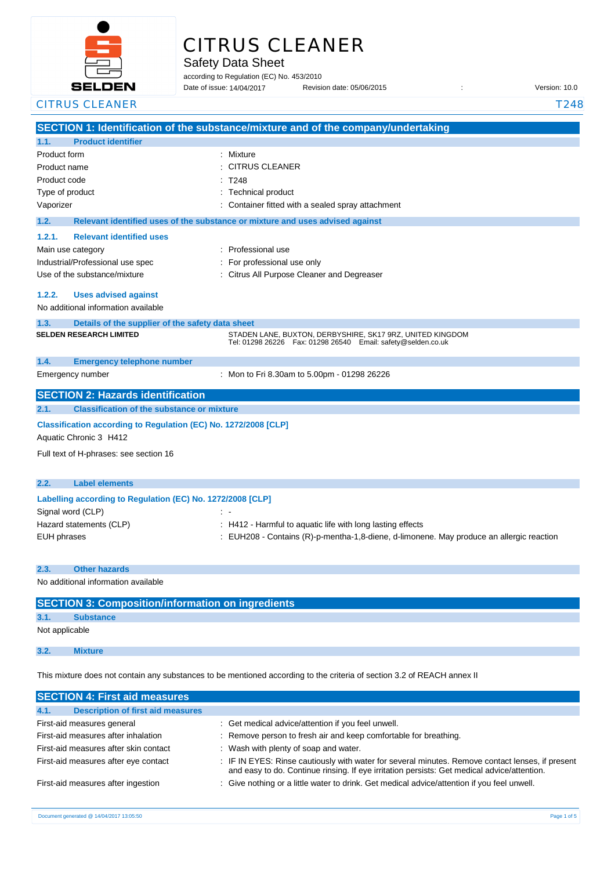

# CITRUS CLEANER

Safety Data Sheet

according to Regulation (EC) No. 453/2010 Date of issue: 14/04/2017

Date of issue: Revision date: 05/06/2015 : Version: 10.0

| <b>CITRUS CLEANER</b>                                           | T248                                                                                                                        |
|-----------------------------------------------------------------|-----------------------------------------------------------------------------------------------------------------------------|
|                                                                 | SECTION 1: Identification of the substance/mixture and of the company/undertaking                                           |
| <b>Product identifier</b><br>1.1.                               |                                                                                                                             |
| Product form                                                    | : Mixture                                                                                                                   |
| Product name                                                    | <b>CITRUS CLEANER</b>                                                                                                       |
| Product code                                                    | T248                                                                                                                        |
| Type of product                                                 | : Technical product                                                                                                         |
| Vaporizer                                                       | : Container fitted with a sealed spray attachment                                                                           |
| 1.2.                                                            | Relevant identified uses of the substance or mixture and uses advised against                                               |
| 1.2.1.<br><b>Relevant identified uses</b>                       |                                                                                                                             |
| Main use category                                               | : Professional use                                                                                                          |
| Industrial/Professional use spec                                | : For professional use only                                                                                                 |
| Use of the substance/mixture                                    | : Citrus All Purpose Cleaner and Degreaser                                                                                  |
| 1.2.2.<br><b>Uses advised against</b>                           |                                                                                                                             |
| No additional information available                             |                                                                                                                             |
| 1.3.<br>Details of the supplier of the safety data sheet        |                                                                                                                             |
| <b>SELDEN RESEARCH LIMITED</b>                                  | STADEN LANE, BUXTON, DERBYSHIRE, SK17 9RZ, UNITED KINGDOM<br>Tel: 01298 26226  Fax: 01298 26540  Email: safety@selden.co.uk |
| 1.4.<br><b>Emergency telephone number</b>                       |                                                                                                                             |
| Emergency number                                                | : Mon to Fri 8.30am to 5.00pm - 01298 26226                                                                                 |
| <b>SECTION 2: Hazards identification</b>                        |                                                                                                                             |
| <b>Classification of the substance or mixture</b><br>2.1.       |                                                                                                                             |
| Classification according to Regulation (EC) No. 1272/2008 [CLP] |                                                                                                                             |
| Aquatic Chronic 3 H412                                          |                                                                                                                             |
| Full text of H-phrases: see section 16                          |                                                                                                                             |
|                                                                 |                                                                                                                             |
| 2.2.<br><b>Label elements</b>                                   |                                                                                                                             |
| Labelling according to Regulation (EC) No. 1272/2008 [CLP]      |                                                                                                                             |
| Signal word (CLP)                                               |                                                                                                                             |
| Hazard statements (CLP)                                         | : H412 - Harmful to aquatic life with long lasting effects                                                                  |
| <b>EUH</b> phrases                                              | : EUH208 - Contains (R)-p-mentha-1,8-diene, d-limonene. May produce an allergic reaction                                    |
| <b>Other hazards</b><br>2.3.                                    |                                                                                                                             |
| No additional information available                             |                                                                                                                             |
|                                                                 |                                                                                                                             |
| <b>SECTION 3: Composition/information on ingredients</b>        |                                                                                                                             |

# **3.1. Substance**

Not applicable

**3.2. Mixture**

This mixture does not contain any substances to be mentioned according to the criteria of section 3.2 of REACH annex II

| <b>SECTION 4: First aid measures</b>             |                                                                                                                                                                                                 |
|--------------------------------------------------|-------------------------------------------------------------------------------------------------------------------------------------------------------------------------------------------------|
| 4.1.<br><b>Description of first aid measures</b> |                                                                                                                                                                                                 |
| First-aid measures general                       | : Get medical advice/attention if you feel unwell.                                                                                                                                              |
| First-aid measures after inhalation              | : Remove person to fresh air and keep comfortable for breathing.                                                                                                                                |
| First-aid measures after skin contact            | : Wash with plenty of soap and water.                                                                                                                                                           |
| First-aid measures after eye contact             | : IF IN EYES: Rinse cautiously with water for several minutes. Remove contact lenses, if present<br>and easy to do. Continue rinsing. If eye irritation persists: Get medical advice/attention. |
| First-aid measures after ingestion               | : Give nothing or a little water to drink. Get medical advice/attention if you feel unwell.                                                                                                     |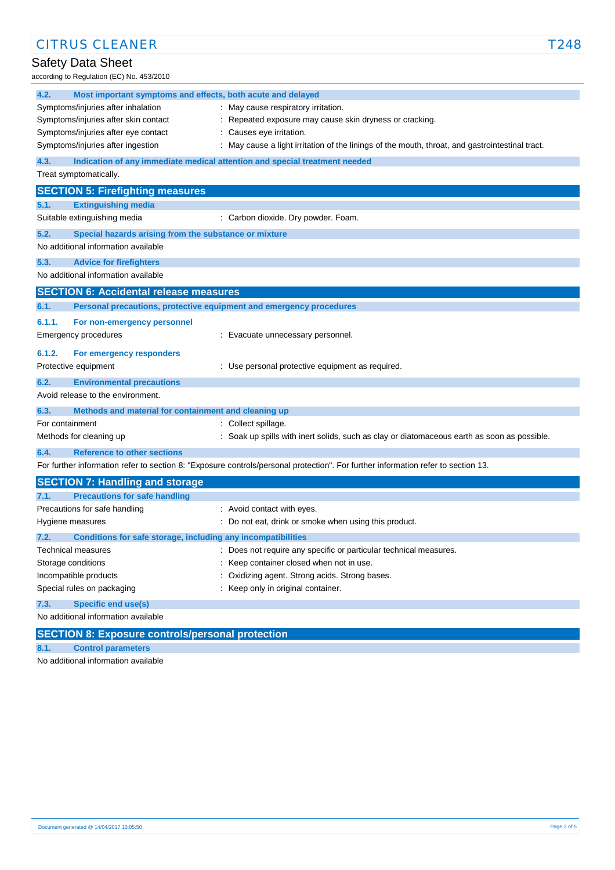| <b>CITRUS CLEANER</b>                                                |                                                                                                                                   | T248 |
|----------------------------------------------------------------------|-----------------------------------------------------------------------------------------------------------------------------------|------|
| Safety Data Sheet                                                    |                                                                                                                                   |      |
| according to Regulation (EC) No. 453/2010                            |                                                                                                                                   |      |
| 4.2.<br>Most important symptoms and effects, both acute and delayed  |                                                                                                                                   |      |
| Symptoms/injuries after inhalation                                   | : May cause respiratory irritation.                                                                                               |      |
| Symptoms/injuries after skin contact                                 | Repeated exposure may cause skin dryness or cracking.                                                                             |      |
| Symptoms/injuries after eye contact                                  | Causes eye irritation.                                                                                                            |      |
| Symptoms/injuries after ingestion                                    | May cause a light irritation of the linings of the mouth, throat, and gastrointestinal tract.                                     |      |
| 4.3.                                                                 | Indication of any immediate medical attention and special treatment needed                                                        |      |
| Treat symptomatically.                                               |                                                                                                                                   |      |
| <b>SECTION 5: Firefighting measures</b>                              |                                                                                                                                   |      |
| 5.1.<br><b>Extinguishing media</b>                                   |                                                                                                                                   |      |
| Suitable extinguishing media                                         | : Carbon dioxide. Dry powder. Foam.                                                                                               |      |
| 5.2.<br>Special hazards arising from the substance or mixture        |                                                                                                                                   |      |
| No additional information available                                  |                                                                                                                                   |      |
| 5.3.<br><b>Advice for firefighters</b>                               |                                                                                                                                   |      |
| No additional information available                                  |                                                                                                                                   |      |
| <b>SECTION 6: Accidental release measures</b>                        |                                                                                                                                   |      |
| 6.1.                                                                 | Personal precautions, protective equipment and emergency procedures                                                               |      |
| 6.1.1.<br>For non-emergency personnel                                |                                                                                                                                   |      |
| Emergency procedures                                                 | : Evacuate unnecessary personnel.                                                                                                 |      |
| 6.1.2.<br>For emergency responders                                   |                                                                                                                                   |      |
| Protective equipment                                                 | : Use personal protective equipment as required.                                                                                  |      |
| 6.2.<br><b>Environmental precautions</b>                             |                                                                                                                                   |      |
| Avoid release to the environment.                                    |                                                                                                                                   |      |
| 6.3.<br>Methods and material for containment and cleaning up         |                                                                                                                                   |      |
| For containment                                                      | : Collect spillage.                                                                                                               |      |
| Methods for cleaning up                                              | : Soak up spills with inert solids, such as clay or diatomaceous earth as soon as possible.                                       |      |
| <b>Reference to other sections</b><br>6.4.                           |                                                                                                                                   |      |
|                                                                      | For further information refer to section 8: "Exposure controls/personal protection". For further information refer to section 13. |      |
| <b>SECTION 7: Handling and storage</b>                               |                                                                                                                                   |      |
| 7.1.<br><b>Precautions for safe handling</b>                         |                                                                                                                                   |      |
| Precautions for safe handling                                        | Avoid contact with eyes.                                                                                                          |      |
| Hygiene measures                                                     | Do not eat, drink or smoke when using this product.                                                                               |      |
| 7.2.<br>Conditions for safe storage, including any incompatibilities |                                                                                                                                   |      |
| <b>Technical measures</b>                                            | : Does not require any specific or particular technical measures.                                                                 |      |
| Storage conditions                                                   | Keep container closed when not in use.                                                                                            |      |
| Incompatible products                                                | Oxidizing agent. Strong acids. Strong bases.                                                                                      |      |
| Special rules on packaging                                           | Keep only in original container.                                                                                                  |      |
| 7.3.<br><b>Specific end use(s)</b>                                   |                                                                                                                                   |      |
| No additional information available                                  |                                                                                                                                   |      |

# **SECTION 8: Exposure controls/personal protection**

**8.1. Control parameters**

No additional information available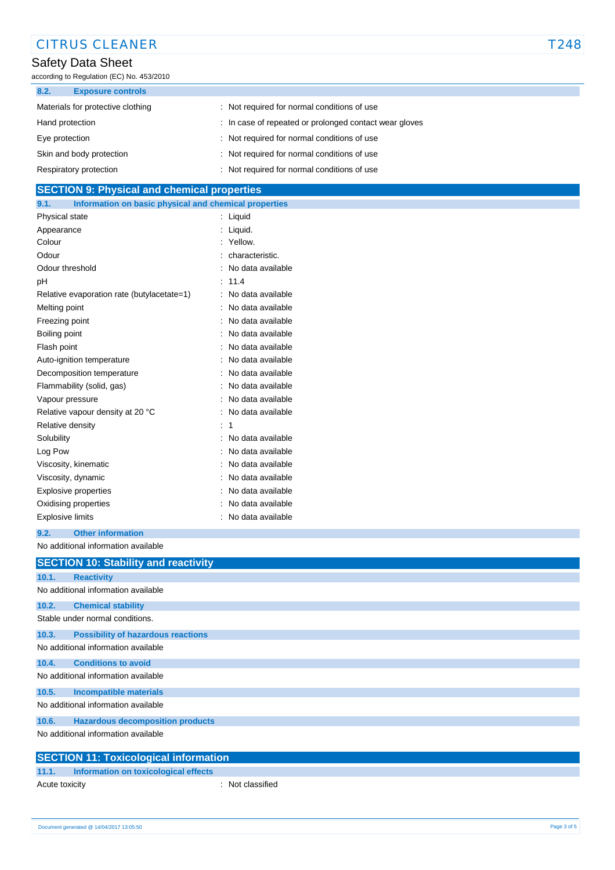| <b>CITRUS CLEANER</b>                                          |                                                        | T248 |
|----------------------------------------------------------------|--------------------------------------------------------|------|
| Safety Data Sheet<br>according to Regulation (EC) No. 453/2010 |                                                        |      |
| 8.2.<br><b>Exposure controls</b>                               |                                                        |      |
| Materials for protective clothing                              | : Not required for normal conditions of use            |      |
| Hand protection                                                | : In case of repeated or prolonged contact wear gloves |      |
| Eye protection                                                 | : Not required for normal conditions of use            |      |
| Skin and body protection                                       | : Not required for normal conditions of use            |      |
| Respiratory protection                                         | : Not required for normal conditions of use            |      |
| <b>SECTION 9: Physical and chemical properties</b>             |                                                        |      |

| Information on basic physical and chemical properties<br>9.1. |                   |
|---------------------------------------------------------------|-------------------|
| Physical state                                                | : Liquid          |
| Appearance                                                    | Liquid.           |
| Colour                                                        | Yellow.           |
| Odour                                                         | characteristic.   |
| Odour threshold                                               | No data available |
| рH                                                            | 11.4              |
| Relative evaporation rate (butylacetate=1)                    | No data available |
| Melting point                                                 | No data available |
| Freezing point                                                | No data available |
| Boiling point                                                 | No data available |
| Flash point                                                   | No data available |
| Auto-ignition temperature                                     | No data available |
| Decomposition temperature                                     | No data available |
| Flammability (solid, gas)                                     | No data available |
| Vapour pressure                                               | No data available |
| Relative vapour density at 20 °C                              | No data available |
| Relative density                                              | 1                 |
| Solubility                                                    | No data available |
| Log Pow                                                       | No data available |
| Viscosity, kinematic                                          | No data available |
| Viscosity, dynamic                                            | No data available |
| Explosive properties                                          | No data available |
| Oxidising properties                                          | No data available |
| <b>Explosive limits</b>                                       | No data available |
|                                                               |                   |

## **9.2. Other information**

No additional information available

|       | <b>SECTION 10: Stability and reactivity</b>  |
|-------|----------------------------------------------|
| 10.1. | <b>Reactivity</b>                            |
|       | No additional information available          |
| 10.2. | <b>Chemical stability</b>                    |
|       | Stable under normal conditions.              |
| 10.3. | <b>Possibility of hazardous reactions</b>    |
|       | No additional information available          |
| 10.4. | <b>Conditions to avoid</b>                   |
|       | No additional information available          |
| 10.5. | <b>Incompatible materials</b>                |
|       | No additional information available          |
| 10.6. | <b>Hazardous decomposition products</b>      |
|       | No additional information available          |
|       | <b>SECTION 11: Toxicological information</b> |

| <b>SECTION 11: Toxicological information</b>                            |  |
|-------------------------------------------------------------------------|--|
|                                                                         |  |
| and the Common section in the construction of the set of the CC sector. |  |

| 11.1.          | Information on toxicological effects |                  |
|----------------|--------------------------------------|------------------|
| Acute toxicity |                                      | : Not classified |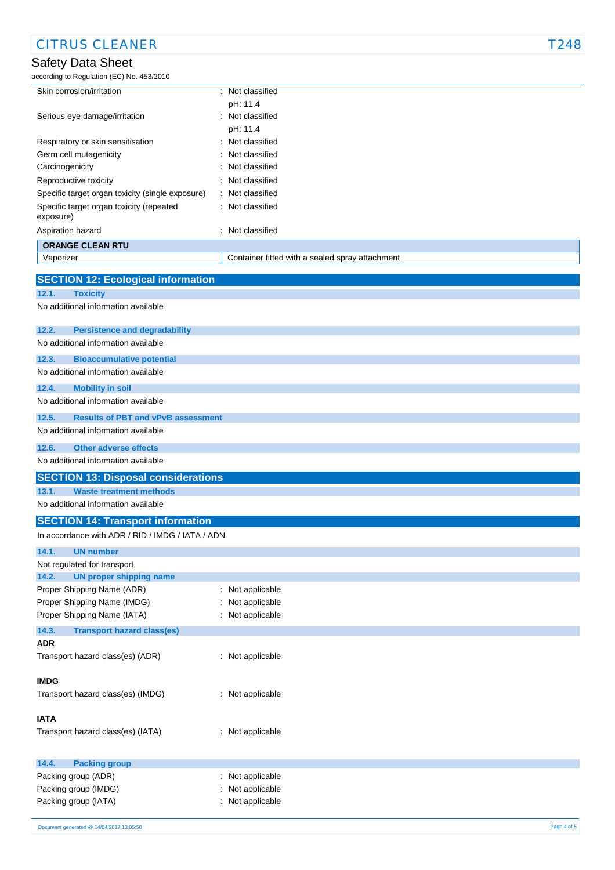| <b>CITRUS CLEANER</b>                                                                                                                                                                                                                                    |                                                 | T248 |
|----------------------------------------------------------------------------------------------------------------------------------------------------------------------------------------------------------------------------------------------------------|-------------------------------------------------|------|
| <b>Safety Data Sheet</b>                                                                                                                                                                                                                                 |                                                 |      |
| according to Regulation (EC) No. 453/2010                                                                                                                                                                                                                |                                                 |      |
| Skin corrosion/irritation                                                                                                                                                                                                                                | : Not classified                                |      |
|                                                                                                                                                                                                                                                          | pH: 11.4                                        |      |
| Serious eye damage/irritation                                                                                                                                                                                                                            | : Not classified                                |      |
|                                                                                                                                                                                                                                                          | pH: 11.4                                        |      |
| Respiratory or skin sensitisation                                                                                                                                                                                                                        | Not classified                                  |      |
| Germ cell mutagenicity                                                                                                                                                                                                                                   | Not classified                                  |      |
| Carcinogenicity                                                                                                                                                                                                                                          | Not classified                                  |      |
| Reproductive toxicity                                                                                                                                                                                                                                    | Not classified                                  |      |
| Specific target organ toxicity (single exposure)                                                                                                                                                                                                         | Not classified                                  |      |
| Specific target organ toxicity (repeated<br>exposure)                                                                                                                                                                                                    | : Not classified                                |      |
| Aspiration hazard                                                                                                                                                                                                                                        | : Not classified                                |      |
| <b>ORANGE CLEAN RTU</b>                                                                                                                                                                                                                                  |                                                 |      |
| Vaporizer                                                                                                                                                                                                                                                | Container fitted with a sealed spray attachment |      |
| 12.3.<br><b>Bioaccumulative potential</b><br>No additional information available<br>12.4.<br><b>Mobility in soil</b><br>No additional information available<br>12.5.<br><b>Results of PBT and vPvB assessment</b><br>No additional information available |                                                 |      |
| 12.6.<br><b>Other adverse effects</b>                                                                                                                                                                                                                    |                                                 |      |
| No additional information available                                                                                                                                                                                                                      |                                                 |      |
| <b>SECTION 13: Disposal considerations</b>                                                                                                                                                                                                               |                                                 |      |
| 13.1.<br><b>Waste treatment methods</b>                                                                                                                                                                                                                  |                                                 |      |
| No additional information available                                                                                                                                                                                                                      |                                                 |      |
| <b>SECTION 14: Transport information</b>                                                                                                                                                                                                                 |                                                 |      |
| In accordance with ADR / RID / IMDG / IATA / ADN                                                                                                                                                                                                         |                                                 |      |
| 14.1.<br><b>UN number</b>                                                                                                                                                                                                                                |                                                 |      |
| Not regulated for transport                                                                                                                                                                                                                              |                                                 |      |
|                                                                                                                                                                                                                                                          |                                                 |      |
|                                                                                                                                                                                                                                                          |                                                 |      |
| <b>UN proper shipping name</b><br>14.2.<br>Proper Shipping Name (ADR)                                                                                                                                                                                    | Not applicable                                  |      |

Proper Shipping Name (IATA) : Not applicable

Packing group (IATA) : Not applicable

**14.3. Transport hazard class(es)**